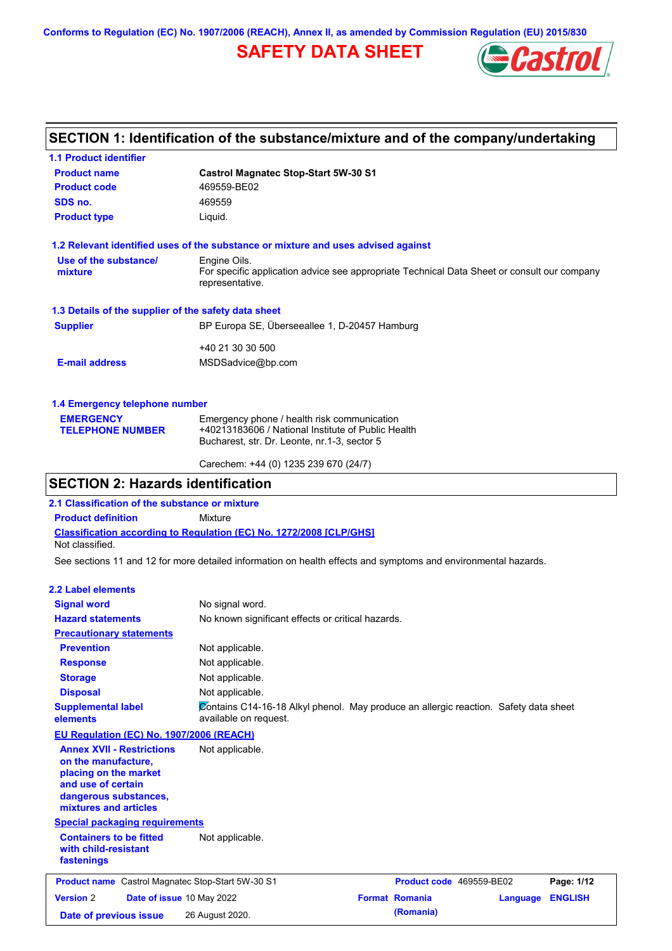**Conforms to Regulation (EC) No. 1907/2006 (REACH), Annex II, as amended by Commission Regulation (EU) 2015/830**

## **SAFETY DATA SHEET**



## **SECTION 1: Identification of the substance/mixture and of the company/undertaking**

| <b>1.1 Product identifier</b>                        |                                                                                                                |  |  |  |
|------------------------------------------------------|----------------------------------------------------------------------------------------------------------------|--|--|--|
| <b>Product name</b>                                  | <b>Castrol Magnatec Stop-Start 5W-30 S1</b><br>469559-BE02                                                     |  |  |  |
| <b>Product code</b>                                  |                                                                                                                |  |  |  |
| SDS no.                                              | 469559                                                                                                         |  |  |  |
| <b>Product type</b>                                  | Liquid.                                                                                                        |  |  |  |
|                                                      | 1.2 Relevant identified uses of the substance or mixture and uses advised against                              |  |  |  |
| Use of the substance/                                | Engine Oils.                                                                                                   |  |  |  |
| mixture                                              | For specific application advice see appropriate Technical Data Sheet or consult our company<br>representative. |  |  |  |
| 1.3 Details of the supplier of the safety data sheet |                                                                                                                |  |  |  |
| <b>Supplier</b>                                      | BP Europa SE, Überseeallee 1, D-20457 Hamburg                                                                  |  |  |  |
|                                                      | +40 21 30 30 500                                                                                               |  |  |  |
| <b>E-mail address</b>                                | MSDSadvice@bp.com                                                                                              |  |  |  |
| 1.4 Emergency telephone number                       |                                                                                                                |  |  |  |
| <b>EMERGENCY</b>                                     | Emergency phone / health risk communication                                                                    |  |  |  |
| <b>TELEPHONE NUMBER</b>                              | +40213183606 / National Institute of Public Health                                                             |  |  |  |
|                                                      | Bucharest, str. Dr. Leonte, nr.1-3, sector 5                                                                   |  |  |  |

Carechem: +44 (0) 1235 239 670 (24/7)

## **SECTION 2: Hazards identification**

**2.1 Classification of the substance or mixture**

**Product definition** Mixture

**Classification according to Regulation (EC) No. 1272/2008 [CLP/GHS]** Not classified.

See sections 11 and 12 for more detailed information on health effects and symptoms and environmental hazards.

#### **2.2 Label elements**

| <b>Signal word</b>                                                                                                                                       | No signal word.                                                                                               |                          |          |                |
|----------------------------------------------------------------------------------------------------------------------------------------------------------|---------------------------------------------------------------------------------------------------------------|--------------------------|----------|----------------|
| <b>Hazard statements</b>                                                                                                                                 | No known significant effects or critical hazards.                                                             |                          |          |                |
| <b>Precautionary statements</b>                                                                                                                          |                                                                                                               |                          |          |                |
| <b>Prevention</b>                                                                                                                                        | Not applicable.                                                                                               |                          |          |                |
| <b>Response</b>                                                                                                                                          | Not applicable.                                                                                               |                          |          |                |
| <b>Storage</b>                                                                                                                                           | Not applicable.                                                                                               |                          |          |                |
| <b>Disposal</b>                                                                                                                                          | Not applicable.                                                                                               |                          |          |                |
| <b>Supplemental label</b><br>elements                                                                                                                    | Contains C14-16-18 Alkyl phenol. May produce an allergic reaction. Safety data sheet<br>available on request. |                          |          |                |
| <b>EU Regulation (EC) No. 1907/2006 (REACH)</b>                                                                                                          |                                                                                                               |                          |          |                |
| <b>Annex XVII - Restrictions</b><br>on the manufacture,<br>placing on the market<br>and use of certain<br>dangerous substances,<br>mixtures and articles | Not applicable.                                                                                               |                          |          |                |
| <b>Special packaging requirements</b>                                                                                                                    |                                                                                                               |                          |          |                |
| <b>Containers to be fitted</b><br>with child-resistant<br>fastenings                                                                                     | Not applicable.                                                                                               |                          |          |                |
| <b>Product name</b> Castrol Magnatec Stop-Start 5W-30 S1                                                                                                 |                                                                                                               | Product code 469559-BE02 |          | Page: 1/12     |
| <b>Version 2</b><br>Date of issue 10 May 2022                                                                                                            |                                                                                                               | <b>Format Romania</b>    | Language | <b>ENGLISH</b> |
| Date of previous issue                                                                                                                                   | 26 August 2020.                                                                                               | (Romania)                |          |                |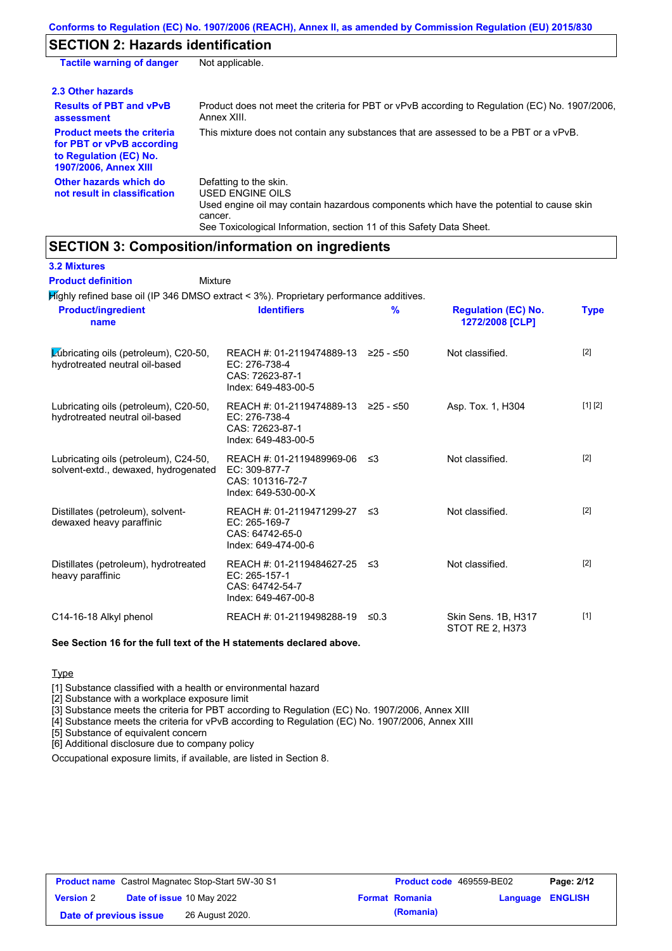## **SECTION 2: Hazards identification**

| <b>Tactile warning of danger</b>                                                                                         | Not applicable.                                                                                                                                                                                                          |
|--------------------------------------------------------------------------------------------------------------------------|--------------------------------------------------------------------------------------------------------------------------------------------------------------------------------------------------------------------------|
| 2.3 Other hazards                                                                                                        |                                                                                                                                                                                                                          |
| <b>Results of PBT and vPvB</b><br>assessment                                                                             | Product does not meet the criteria for PBT or vPvB according to Regulation (EC) No. 1907/2006,<br>Annex XIII.                                                                                                            |
| <b>Product meets the criteria</b><br>for PBT or vPvB according<br>to Regulation (EC) No.<br><b>1907/2006, Annex XIII</b> | This mixture does not contain any substances that are assessed to be a PBT or a vPvB.                                                                                                                                    |
| Other hazards which do<br>not result in classification                                                                   | Defatting to the skin.<br>USED ENGINE OILS<br>Used engine oil may contain hazardous components which have the potential to cause skin<br>cancer.<br>See Toxicological Information, section 11 of this Safety Data Sheet. |

## **SECTION 3: Composition/information on ingredients**

| <b>3.2 Mixtures</b>                                                                    |                                                                                                |               |                                               |             |
|----------------------------------------------------------------------------------------|------------------------------------------------------------------------------------------------|---------------|-----------------------------------------------|-------------|
| <b>Product definition</b><br>Mixture                                                   |                                                                                                |               |                                               |             |
| Mighly refined base oil (IP 346 DMSO extract < 3%). Proprietary performance additives. |                                                                                                |               |                                               |             |
| <b>Product/ingredient</b><br>name                                                      | <b>Identifiers</b>                                                                             | $\frac{9}{6}$ | <b>Regulation (EC) No.</b><br>1272/2008 [CLP] | <b>Type</b> |
| Lubricating oils (petroleum), $C20-50$ ,<br>hydrotreated neutral oil-based             | REACH #: 01-2119474889-13 ≥25 - ≤50<br>EC: 276-738-4<br>CAS: 72623-87-1<br>Index: 649-483-00-5 |               | Not classified.                               | $[2]$       |
| Lubricating oils (petroleum), C20-50,<br>hydrotreated neutral oil-based                | REACH #: 01-2119474889-13 ≥25 - ≤50<br>EC: 276-738-4<br>CAS: 72623-87-1<br>Index: 649-483-00-5 |               | Asp. Tox. 1, H304                             | [1] [2]     |
| Lubricating oils (petroleum), C24-50,<br>solvent-extd., dewaxed, hydrogenated          | REACH #: 01-2119489969-06<br>EC: 309-877-7<br>CAS: 101316-72-7<br>Index: 649-530-00-X          | ≤3            | Not classified.                               | $[2]$       |
| Distillates (petroleum), solvent-<br>dewaxed heavy paraffinic                          | REACH #: 01-2119471299-27<br>EC: 265-169-7<br>CAS: 64742-65-0<br>Index: 649-474-00-6           | ≤3            | Not classified.                               | $[2]$       |
| Distillates (petroleum), hydrotreated<br>heavy paraffinic                              | REACH #: 01-2119484627-25<br>EC: 265-157-1<br>CAS: 64742-54-7<br>Index: 649-467-00-8           | ึ ≤3          | Not classified.                               | [2]         |
| C14-16-18 Alkyl phenol                                                                 | REACH #: 01-2119498288-19                                                                      | $\leq 0.3$    | Skin Sens. 1B, H317<br>STOT RE 2, H373        | $[1]$       |

#### **See Section 16 for the full text of the H statements declared above.**

#### **Type**

[1] Substance classified with a health or environmental hazard

[2] Substance with a workplace exposure limit

[3] Substance meets the criteria for PBT according to Regulation (EC) No. 1907/2006, Annex XIII

[4] Substance meets the criteria for vPvB according to Regulation (EC) No. 1907/2006, Annex XIII

[5] Substance of equivalent concern

[6] Additional disclosure due to company policy

Occupational exposure limits, if available, are listed in Section 8.

| <b>Product name</b> Castrol Magnatec Stop-Start 5W-30 S1 |  | <b>Product code</b> 469559-BE02 |  | Page: 2/12            |                         |  |
|----------------------------------------------------------|--|---------------------------------|--|-----------------------|-------------------------|--|
| <b>Version 2</b>                                         |  | Date of issue 10 May 2022       |  | <b>Format Romania</b> | <b>Language ENGLISH</b> |  |
| Date of previous issue                                   |  | 26 August 2020.                 |  | (Romania)             |                         |  |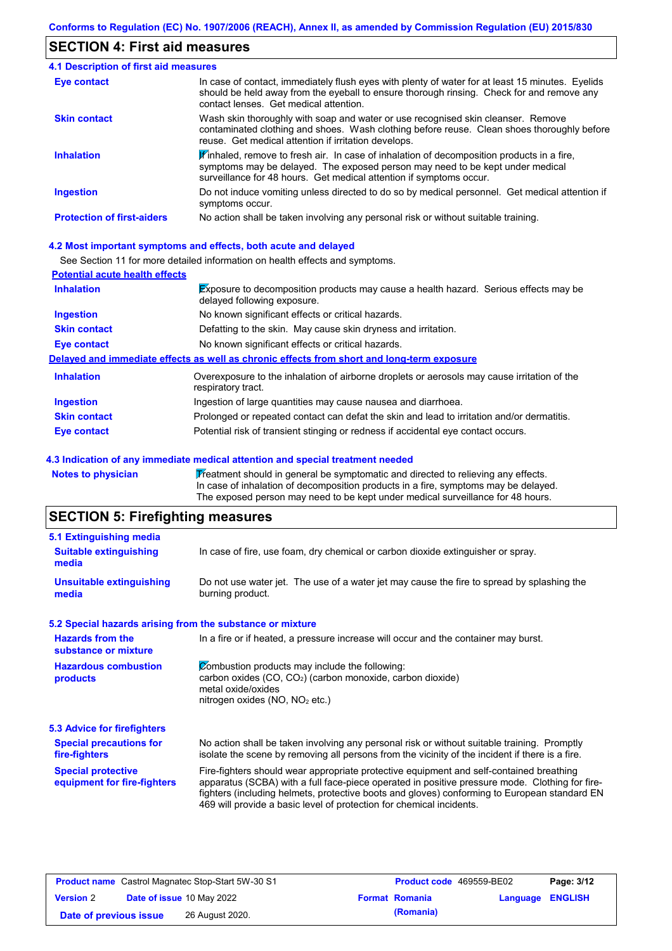## **SECTION 4: First aid measures**

| <b>4.1 Description of first aid measures</b> |                                                                                                                                                                                                                                                              |
|----------------------------------------------|--------------------------------------------------------------------------------------------------------------------------------------------------------------------------------------------------------------------------------------------------------------|
| <b>Eye contact</b>                           | In case of contact, immediately flush eyes with plenty of water for at least 15 minutes. Eyelids<br>should be held away from the eyeball to ensure thorough rinsing. Check for and remove any<br>contact lenses. Get medical attention.                      |
| <b>Skin contact</b>                          | Wash skin thoroughly with soap and water or use recognised skin cleanser. Remove<br>contaminated clothing and shoes. Wash clothing before reuse. Clean shoes thoroughly before<br>reuse. Get medical attention if irritation develops.                       |
| <b>Inhalation</b>                            | $\mathbf F$ inhaled, remove to fresh air. In case of inhalation of decomposition products in a fire,<br>symptoms may be delayed. The exposed person may need to be kept under medical<br>surveillance for 48 hours. Get medical attention if symptoms occur. |
| <b>Ingestion</b>                             | Do not induce vomiting unless directed to do so by medical personnel. Get medical attention if<br>symptoms occur.                                                                                                                                            |
| <b>Protection of first-aiders</b>            | No action shall be taken involving any personal risk or without suitable training.                                                                                                                                                                           |

#### **4.2 Most important symptoms and effects, both acute and delayed**

See Section 11 for more detailed information on health effects and symptoms.

| <b>Potential acute health effects</b> |                                                                                                                            |
|---------------------------------------|----------------------------------------------------------------------------------------------------------------------------|
| <b>Inhalation</b>                     | <b>Exposure to decomposition products may cause a health hazard. Serious effects may be</b><br>delayed following exposure. |
| <b>Ingestion</b>                      | No known significant effects or critical hazards.                                                                          |
| <b>Skin contact</b>                   | Defatting to the skin. May cause skin dryness and irritation.                                                              |
| Eye contact                           | No known significant effects or critical hazards.                                                                          |
|                                       | Delayed and immediate effects as well as chronic effects from short and long-term exposure                                 |
| <b>Inhalation</b>                     | Overexposure to the inhalation of airborne droplets or aerosols may cause irritation of the<br>respiratory tract.          |
| <b>Ingestion</b>                      | Ingestion of large quantities may cause nausea and diarrhoea.                                                              |
| <b>Skin contact</b>                   | Prolonged or repeated contact can defat the skin and lead to irritation and/or dermatitis.                                 |
| Eye contact                           | Potential risk of transient stinging or redness if accidental eye contact occurs.                                          |

#### **4.3 Indication of any immediate medical attention and special treatment needed**

Notes to physician **Treatment should in general be symptomatic and directed to relieving any effects.** In case of inhalation of decomposition products in a fire, symptoms may be delayed. The exposed person may need to be kept under medical surveillance for 48 hours.

## **SECTION 5: Firefighting measures**

| 5.1 Extinguishing media                                   |                                                                                                                                                                                                                                                                                                                                                                   |
|-----------------------------------------------------------|-------------------------------------------------------------------------------------------------------------------------------------------------------------------------------------------------------------------------------------------------------------------------------------------------------------------------------------------------------------------|
| <b>Suitable extinguishing</b><br>media                    | In case of fire, use foam, dry chemical or carbon dioxide extinguisher or spray.                                                                                                                                                                                                                                                                                  |
| <b>Unsuitable extinguishing</b><br>media                  | Do not use water jet. The use of a water jet may cause the fire to spread by splashing the<br>burning product.                                                                                                                                                                                                                                                    |
| 5.2 Special hazards arising from the substance or mixture |                                                                                                                                                                                                                                                                                                                                                                   |
| <b>Hazards from the</b><br>substance or mixture           | In a fire or if heated, a pressure increase will occur and the container may burst.                                                                                                                                                                                                                                                                               |
| <b>Hazardous combustion</b><br>products                   | Combustion products may include the following:<br>carbon oxides (CO, CO <sub>2</sub> ) (carbon monoxide, carbon dioxide)<br>metal oxide/oxides<br>nitrogen oxides (NO, NO <sub>2</sub> etc.)                                                                                                                                                                      |
| 5.3 Advice for firefighters                               |                                                                                                                                                                                                                                                                                                                                                                   |
| <b>Special precautions for</b><br>fire-fighters           | No action shall be taken involving any personal risk or without suitable training. Promptly<br>isolate the scene by removing all persons from the vicinity of the incident if there is a fire.                                                                                                                                                                    |
| <b>Special protective</b><br>equipment for fire-fighters  | Fire-fighters should wear appropriate protective equipment and self-contained breathing<br>apparatus (SCBA) with a full face-piece operated in positive pressure mode. Clothing for fire-<br>fighters (including helmets, protective boots and gloves) conforming to European standard EN<br>469 will provide a basic level of protection for chemical incidents. |

| <b>Product name</b> Castrol Magnatec Stop-Start 5W-30 S1 |  | <b>Product code</b> 469559-BE02  |  | Page: 3/12            |                  |  |
|----------------------------------------------------------|--|----------------------------------|--|-----------------------|------------------|--|
| <b>Version 2</b>                                         |  | <b>Date of issue 10 May 2022</b> |  | <b>Format Romania</b> | Language ENGLISH |  |
| Date of previous issue                                   |  | 26 August 2020.                  |  | (Romania)             |                  |  |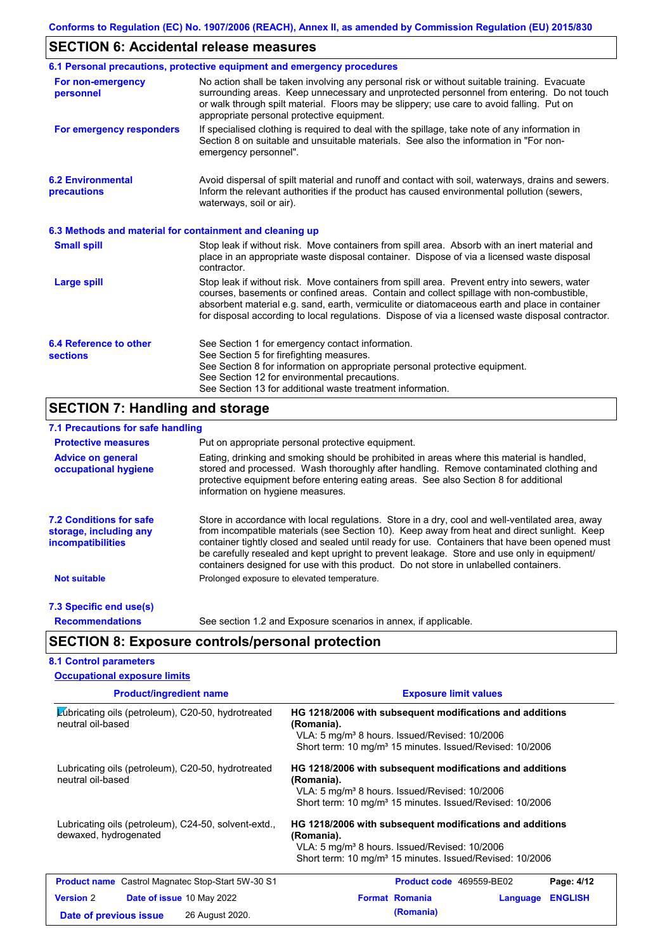## **SECTION 6: Accidental release measures**

|                                                          | 6.1 Personal precautions, protective equipment and emergency procedures                                                                                                                                                                                                                                                                                                                        |
|----------------------------------------------------------|------------------------------------------------------------------------------------------------------------------------------------------------------------------------------------------------------------------------------------------------------------------------------------------------------------------------------------------------------------------------------------------------|
| For non-emergency<br>personnel                           | No action shall be taken involving any personal risk or without suitable training. Evacuate<br>surrounding areas. Keep unnecessary and unprotected personnel from entering. Do not touch<br>or walk through spilt material. Floors may be slippery; use care to avoid falling. Put on<br>appropriate personal protective equipment.                                                            |
| For emergency responders                                 | If specialised clothing is required to deal with the spillage, take note of any information in<br>Section 8 on suitable and unsuitable materials. See also the information in "For non-<br>emergency personnel".                                                                                                                                                                               |
| <b>6.2 Environmental</b><br>precautions                  | Avoid dispersal of spilt material and runoff and contact with soil, waterways, drains and sewers.<br>Inform the relevant authorities if the product has caused environmental pollution (sewers,<br>waterways, soil or air).                                                                                                                                                                    |
| 6.3 Methods and material for containment and cleaning up |                                                                                                                                                                                                                                                                                                                                                                                                |
| <b>Small spill</b>                                       | Stop leak if without risk. Move containers from spill area. Absorb with an inert material and<br>place in an appropriate waste disposal container. Dispose of via a licensed waste disposal<br>contractor.                                                                                                                                                                                     |
| Large spill                                              | Stop leak if without risk. Move containers from spill area. Prevent entry into sewers, water<br>courses, basements or confined areas. Contain and collect spillage with non-combustible,<br>absorbent material e.g. sand, earth, vermiculite or diatomaceous earth and place in container<br>for disposal according to local regulations. Dispose of via a licensed waste disposal contractor. |
| 6.4 Reference to other<br><b>sections</b>                | See Section 1 for emergency contact information.<br>See Section 5 for firefighting measures.<br>See Section 8 for information on appropriate personal protective equipment.<br>See Section 12 for environmental precautions.<br>See Section 13 for additional waste treatment information.                                                                                                     |

## **SECTION 7: Handling and storage**

| 7.1 Precautions for safe handling                                                    |                                                                                                                                                                                                                                                                                                                                                                                                                                                                                          |
|--------------------------------------------------------------------------------------|------------------------------------------------------------------------------------------------------------------------------------------------------------------------------------------------------------------------------------------------------------------------------------------------------------------------------------------------------------------------------------------------------------------------------------------------------------------------------------------|
| <b>Protective measures</b>                                                           | Put on appropriate personal protective equipment.                                                                                                                                                                                                                                                                                                                                                                                                                                        |
| <b>Advice on general</b><br>occupational hygiene                                     | Eating, drinking and smoking should be prohibited in areas where this material is handled,<br>stored and processed. Wash thoroughly after handling. Remove contaminated clothing and<br>protective equipment before entering eating areas. See also Section 8 for additional<br>information on hygiene measures.                                                                                                                                                                         |
| <b>7.2 Conditions for safe</b><br>storage, including any<br><i>incompatibilities</i> | Store in accordance with local regulations. Store in a dry, cool and well-ventilated area, away<br>from incompatible materials (see Section 10). Keep away from heat and direct sunlight. Keep<br>container tightly closed and sealed until ready for use. Containers that have been opened must<br>be carefully resealed and kept upright to prevent leakage. Store and use only in equipment/<br>containers designed for use with this product. Do not store in unlabelled containers. |
| <b>Not suitable</b>                                                                  | Prolonged exposure to elevated temperature.                                                                                                                                                                                                                                                                                                                                                                                                                                              |
| 7.3 Specific end use(s)                                                              |                                                                                                                                                                                                                                                                                                                                                                                                                                                                                          |
| <b>Recommendations</b>                                                               | See section 1.2 and Exposure scenarios in annex, if applicable.                                                                                                                                                                                                                                                                                                                                                                                                                          |
|                                                                                      | <b>SECTION 8: Exposure controls/personal protection</b>                                                                                                                                                                                                                                                                                                                                                                                                                                  |
| <b>8.1 Control parameters</b>                                                        |                                                                                                                                                                                                                                                                                                                                                                                                                                                                                          |
| <b>Occupational exposure limits</b>                                                  |                                                                                                                                                                                                                                                                                                                                                                                                                                                                                          |

| <b>Product/ingredient name</b>                                                | <b>Exposure limit values</b>                                                                                                                                                                                |
|-------------------------------------------------------------------------------|-------------------------------------------------------------------------------------------------------------------------------------------------------------------------------------------------------------|
| Lubricating oils (petroleum), C20-50, hydrotreated<br>neutral oil-based       | HG 1218/2006 with subsequent modifications and additions<br>(Romania).<br>VLA: 5 mg/m <sup>3</sup> 8 hours. Issued/Revised: 10/2006<br>Short term: 10 mg/m <sup>3</sup> 15 minutes. Issued/Revised: 10/2006 |
| Lubricating oils (petroleum), C20-50, hydrotreated<br>neutral oil-based       | HG 1218/2006 with subsequent modifications and additions<br>(Romania).<br>VLA: 5 mg/m <sup>3</sup> 8 hours. Issued/Revised: 10/2006<br>Short term: 10 mg/m <sup>3</sup> 15 minutes. Issued/Revised: 10/2006 |
| Lubricating oils (petroleum), C24-50, solvent-extd.,<br>dewaxed, hydrogenated | HG 1218/2006 with subsequent modifications and additions<br>(Romania).<br>VLA: 5 mg/m <sup>3</sup> 8 hours. Issued/Revised: 10/2006<br>Short term: 10 mg/m <sup>3</sup> 15 minutes. Issued/Revised: 10/2006 |
| <b>Product name</b> Castrol Magnatec Stop-Start 5W-30 S1                      | <b>Product code</b> 469559-BE02<br>Page: 4/12                                                                                                                                                               |
| <b>Version 2</b><br><b>Date of issue 10 May 2022</b>                          | <b>Format Romania</b><br><b>ENGLISH</b><br>Language                                                                                                                                                         |
| 26 August 2020.<br>Date of previous issue                                     | (Romania)                                                                                                                                                                                                   |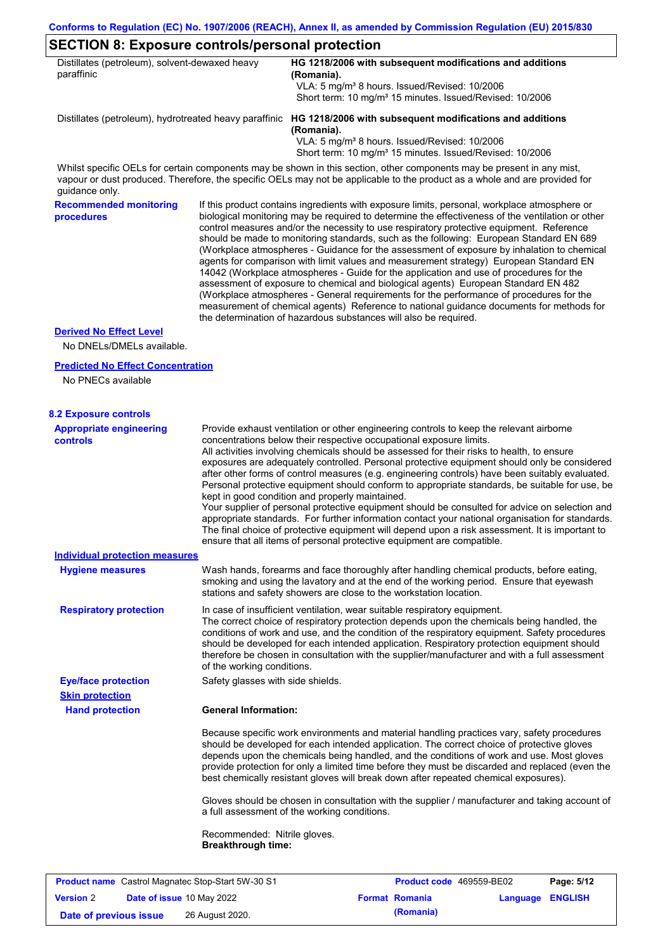## **SECTION 8: Exposure controls/personal protection**

| Distillates (petroleum), solvent-dewaxed heavy<br>paraffinic |                                                                                                                                                                                                                                                                                                                                                                                                                                                                                                                                                                                                                                                                                                                                                                                                                                                                                                                                                                                                                            | OLOTION 0. LAPOSUIG GONNOIS/PGISONUI PIONGHONI<br>HG 1218/2006 with subsequent modifications and additions<br>(Romania).                                                                                                                                                                                                                                                                                                                                                                                                                                                                                                                                                                                                                                                                                                                                                                                                                                                                                |  |  |  |
|--------------------------------------------------------------|----------------------------------------------------------------------------------------------------------------------------------------------------------------------------------------------------------------------------------------------------------------------------------------------------------------------------------------------------------------------------------------------------------------------------------------------------------------------------------------------------------------------------------------------------------------------------------------------------------------------------------------------------------------------------------------------------------------------------------------------------------------------------------------------------------------------------------------------------------------------------------------------------------------------------------------------------------------------------------------------------------------------------|---------------------------------------------------------------------------------------------------------------------------------------------------------------------------------------------------------------------------------------------------------------------------------------------------------------------------------------------------------------------------------------------------------------------------------------------------------------------------------------------------------------------------------------------------------------------------------------------------------------------------------------------------------------------------------------------------------------------------------------------------------------------------------------------------------------------------------------------------------------------------------------------------------------------------------------------------------------------------------------------------------|--|--|--|
|                                                              |                                                                                                                                                                                                                                                                                                                                                                                                                                                                                                                                                                                                                                                                                                                                                                                                                                                                                                                                                                                                                            | VLA: 5 mg/m <sup>3</sup> 8 hours. Issued/Revised: 10/2006<br>Short term: 10 mg/m <sup>3</sup> 15 minutes. Issued/Revised: 10/2006                                                                                                                                                                                                                                                                                                                                                                                                                                                                                                                                                                                                                                                                                                                                                                                                                                                                       |  |  |  |
|                                                              |                                                                                                                                                                                                                                                                                                                                                                                                                                                                                                                                                                                                                                                                                                                                                                                                                                                                                                                                                                                                                            | Distillates (petroleum), hydrotreated heavy paraffinic HG 1218/2006 with subsequent modifications and additions<br>(Romania).                                                                                                                                                                                                                                                                                                                                                                                                                                                                                                                                                                                                                                                                                                                                                                                                                                                                           |  |  |  |
|                                                              |                                                                                                                                                                                                                                                                                                                                                                                                                                                                                                                                                                                                                                                                                                                                                                                                                                                                                                                                                                                                                            | VLA: 5 mg/m <sup>3</sup> 8 hours. Issued/Revised: 10/2006<br>Short term: 10 mg/m <sup>3</sup> 15 minutes. Issued/Revised: 10/2006                                                                                                                                                                                                                                                                                                                                                                                                                                                                                                                                                                                                                                                                                                                                                                                                                                                                       |  |  |  |
| quidance only.                                               |                                                                                                                                                                                                                                                                                                                                                                                                                                                                                                                                                                                                                                                                                                                                                                                                                                                                                                                                                                                                                            | Whilst specific OELs for certain components may be shown in this section, other components may be present in any mist,<br>vapour or dust produced. Therefore, the specific OELs may not be applicable to the product as a whole and are provided for                                                                                                                                                                                                                                                                                                                                                                                                                                                                                                                                                                                                                                                                                                                                                    |  |  |  |
| <b>Recommended monitoring</b><br>procedures                  | If this product contains ingredients with exposure limits, personal, workplace atmosphere or<br>biological monitoring may be required to determine the effectiveness of the ventilation or other<br>control measures and/or the necessity to use respiratory protective equipment. Reference<br>should be made to monitoring standards, such as the following: European Standard EN 689<br>(Workplace atmospheres - Guidance for the assessment of exposure by inhalation to chemical<br>agents for comparison with limit values and measurement strategy) European Standard EN<br>14042 (Workplace atmospheres - Guide for the application and use of procedures for the<br>assessment of exposure to chemical and biological agents) European Standard EN 482<br>(Workplace atmospheres - General requirements for the performance of procedures for the<br>measurement of chemical agents) Reference to national guidance documents for methods for<br>the determination of hazardous substances will also be required. |                                                                                                                                                                                                                                                                                                                                                                                                                                                                                                                                                                                                                                                                                                                                                                                                                                                                                                                                                                                                         |  |  |  |
| <b>Derived No Effect Level</b><br>No DNELs/DMELs available.  |                                                                                                                                                                                                                                                                                                                                                                                                                                                                                                                                                                                                                                                                                                                                                                                                                                                                                                                                                                                                                            |                                                                                                                                                                                                                                                                                                                                                                                                                                                                                                                                                                                                                                                                                                                                                                                                                                                                                                                                                                                                         |  |  |  |
| <b>Predicted No Effect Concentration</b>                     |                                                                                                                                                                                                                                                                                                                                                                                                                                                                                                                                                                                                                                                                                                                                                                                                                                                                                                                                                                                                                            |                                                                                                                                                                                                                                                                                                                                                                                                                                                                                                                                                                                                                                                                                                                                                                                                                                                                                                                                                                                                         |  |  |  |
| No PNECs available                                           |                                                                                                                                                                                                                                                                                                                                                                                                                                                                                                                                                                                                                                                                                                                                                                                                                                                                                                                                                                                                                            |                                                                                                                                                                                                                                                                                                                                                                                                                                                                                                                                                                                                                                                                                                                                                                                                                                                                                                                                                                                                         |  |  |  |
| <b>8.2 Exposure controls</b>                                 |                                                                                                                                                                                                                                                                                                                                                                                                                                                                                                                                                                                                                                                                                                                                                                                                                                                                                                                                                                                                                            |                                                                                                                                                                                                                                                                                                                                                                                                                                                                                                                                                                                                                                                                                                                                                                                                                                                                                                                                                                                                         |  |  |  |
| <b>Appropriate engineering</b><br><b>controls</b>            |                                                                                                                                                                                                                                                                                                                                                                                                                                                                                                                                                                                                                                                                                                                                                                                                                                                                                                                                                                                                                            | Provide exhaust ventilation or other engineering controls to keep the relevant airborne<br>concentrations below their respective occupational exposure limits.<br>All activities involving chemicals should be assessed for their risks to health, to ensure<br>exposures are adequately controlled. Personal protective equipment should only be considered<br>after other forms of control measures (e.g. engineering controls) have been suitably evaluated.<br>Personal protective equipment should conform to appropriate standards, be suitable for use, be<br>kept in good condition and properly maintained.<br>Your supplier of personal protective equipment should be consulted for advice on selection and<br>appropriate standards. For further information contact your national organisation for standards.<br>The final choice of protective equipment will depend upon a risk assessment. It is important to<br>ensure that all items of personal protective equipment are compatible. |  |  |  |
| <b>Individual protection measures</b>                        |                                                                                                                                                                                                                                                                                                                                                                                                                                                                                                                                                                                                                                                                                                                                                                                                                                                                                                                                                                                                                            |                                                                                                                                                                                                                                                                                                                                                                                                                                                                                                                                                                                                                                                                                                                                                                                                                                                                                                                                                                                                         |  |  |  |
| <b>Hygiene measures</b>                                      |                                                                                                                                                                                                                                                                                                                                                                                                                                                                                                                                                                                                                                                                                                                                                                                                                                                                                                                                                                                                                            | Wash hands, forearms and face thoroughly after handling chemical products, before eating,<br>smoking and using the lavatory and at the end of the working period. Ensure that eyewash<br>stations and safety showers are close to the workstation location.                                                                                                                                                                                                                                                                                                                                                                                                                                                                                                                                                                                                                                                                                                                                             |  |  |  |
| <b>Respiratory protection</b>                                | of the working conditions.                                                                                                                                                                                                                                                                                                                                                                                                                                                                                                                                                                                                                                                                                                                                                                                                                                                                                                                                                                                                 | In case of insufficient ventilation, wear suitable respiratory equipment.<br>The correct choice of respiratory protection depends upon the chemicals being handled, the<br>conditions of work and use, and the condition of the respiratory equipment. Safety procedures<br>should be developed for each intended application. Respiratory protection equipment should<br>therefore be chosen in consultation with the supplier/manufacturer and with a full assessment                                                                                                                                                                                                                                                                                                                                                                                                                                                                                                                                 |  |  |  |
| <b>Eye/face protection</b><br><b>Skin protection</b>         | Safety glasses with side shields.                                                                                                                                                                                                                                                                                                                                                                                                                                                                                                                                                                                                                                                                                                                                                                                                                                                                                                                                                                                          |                                                                                                                                                                                                                                                                                                                                                                                                                                                                                                                                                                                                                                                                                                                                                                                                                                                                                                                                                                                                         |  |  |  |
| <b>Hand protection</b>                                       | <b>General Information:</b>                                                                                                                                                                                                                                                                                                                                                                                                                                                                                                                                                                                                                                                                                                                                                                                                                                                                                                                                                                                                |                                                                                                                                                                                                                                                                                                                                                                                                                                                                                                                                                                                                                                                                                                                                                                                                                                                                                                                                                                                                         |  |  |  |
|                                                              |                                                                                                                                                                                                                                                                                                                                                                                                                                                                                                                                                                                                                                                                                                                                                                                                                                                                                                                                                                                                                            | Because specific work environments and material handling practices vary, safety procedures<br>should be developed for each intended application. The correct choice of protective gloves<br>depends upon the chemicals being handled, and the conditions of work and use. Most gloves<br>provide protection for only a limited time before they must be discarded and replaced (even the<br>best chemically resistant gloves will break down after repeated chemical exposures).                                                                                                                                                                                                                                                                                                                                                                                                                                                                                                                        |  |  |  |
|                                                              |                                                                                                                                                                                                                                                                                                                                                                                                                                                                                                                                                                                                                                                                                                                                                                                                                                                                                                                                                                                                                            | Gloves should be chosen in consultation with the supplier / manufacturer and taking account of<br>a full assessment of the working conditions.                                                                                                                                                                                                                                                                                                                                                                                                                                                                                                                                                                                                                                                                                                                                                                                                                                                          |  |  |  |
|                                                              | Recommended: Nitrile gloves.                                                                                                                                                                                                                                                                                                                                                                                                                                                                                                                                                                                                                                                                                                                                                                                                                                                                                                                                                                                               |                                                                                                                                                                                                                                                                                                                                                                                                                                                                                                                                                                                                                                                                                                                                                                                                                                                                                                                                                                                                         |  |  |  |

|                        | <b>Product name</b> Castrol Magnatec Stop-Start 5W-30 S1 | Product code 469559-BE02 |                  | Page: 5/12 |
|------------------------|----------------------------------------------------------|--------------------------|------------------|------------|
| <b>Version</b> 2       | <b>Date of issue 10 May 2022</b>                         | <b>Format Romania</b>    | Language ENGLISH |            |
| Date of previous issue | 26 August 2020.                                          | (Romania)                |                  |            |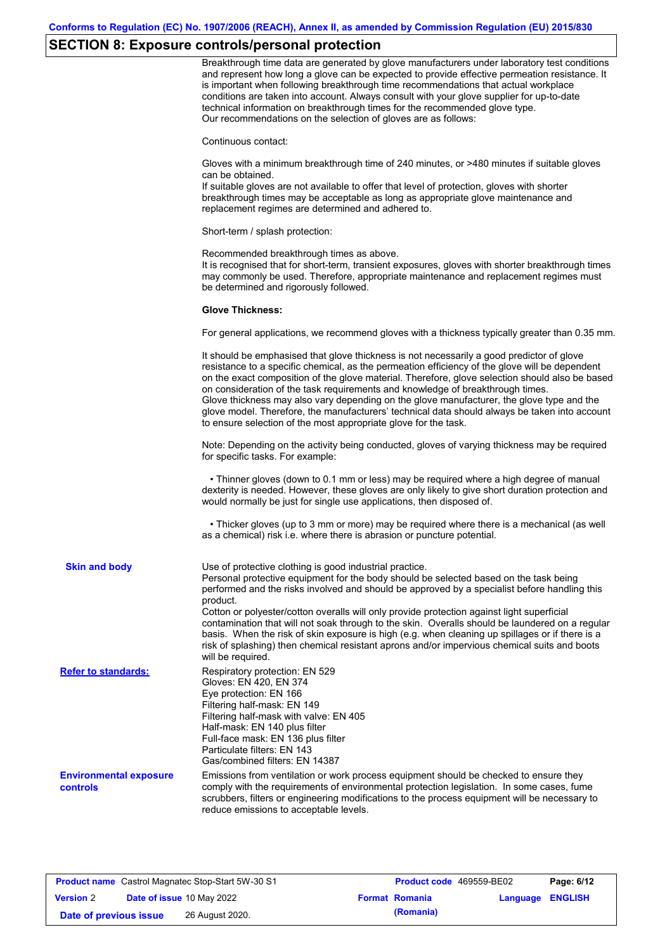# **SECTION 8: Exposure controls/personal protection**

|                                                  | Breakthrough time data are generated by glove manufacturers under laboratory test conditions<br>and represent how long a glove can be expected to provide effective permeation resistance. It<br>is important when following breakthrough time recommendations that actual workplace<br>conditions are taken into account. Always consult with your glove supplier for up-to-date<br>technical information on breakthrough times for the recommended glove type.<br>Our recommendations on the selection of gloves are as follows:                                                                                                                |
|--------------------------------------------------|---------------------------------------------------------------------------------------------------------------------------------------------------------------------------------------------------------------------------------------------------------------------------------------------------------------------------------------------------------------------------------------------------------------------------------------------------------------------------------------------------------------------------------------------------------------------------------------------------------------------------------------------------|
|                                                  | Continuous contact:                                                                                                                                                                                                                                                                                                                                                                                                                                                                                                                                                                                                                               |
|                                                  | Gloves with a minimum breakthrough time of 240 minutes, or >480 minutes if suitable gloves<br>can be obtained.<br>If suitable gloves are not available to offer that level of protection, gloves with shorter<br>breakthrough times may be acceptable as long as appropriate glove maintenance and<br>replacement regimes are determined and adhered to.                                                                                                                                                                                                                                                                                          |
|                                                  | Short-term / splash protection:                                                                                                                                                                                                                                                                                                                                                                                                                                                                                                                                                                                                                   |
|                                                  | Recommended breakthrough times as above.<br>It is recognised that for short-term, transient exposures, gloves with shorter breakthrough times<br>may commonly be used. Therefore, appropriate maintenance and replacement regimes must<br>be determined and rigorously followed.                                                                                                                                                                                                                                                                                                                                                                  |
|                                                  | <b>Glove Thickness:</b>                                                                                                                                                                                                                                                                                                                                                                                                                                                                                                                                                                                                                           |
|                                                  | For general applications, we recommend gloves with a thickness typically greater than 0.35 mm.                                                                                                                                                                                                                                                                                                                                                                                                                                                                                                                                                    |
|                                                  | It should be emphasised that glove thickness is not necessarily a good predictor of glove<br>resistance to a specific chemical, as the permeation efficiency of the glove will be dependent<br>on the exact composition of the glove material. Therefore, glove selection should also be based<br>on consideration of the task requirements and knowledge of breakthrough times.<br>Glove thickness may also vary depending on the glove manufacturer, the glove type and the<br>glove model. Therefore, the manufacturers' technical data should always be taken into account<br>to ensure selection of the most appropriate glove for the task. |
|                                                  | Note: Depending on the activity being conducted, gloves of varying thickness may be required<br>for specific tasks. For example:                                                                                                                                                                                                                                                                                                                                                                                                                                                                                                                  |
|                                                  | • Thinner gloves (down to 0.1 mm or less) may be required where a high degree of manual<br>dexterity is needed. However, these gloves are only likely to give short duration protection and<br>would normally be just for single use applications, then disposed of.                                                                                                                                                                                                                                                                                                                                                                              |
|                                                  | • Thicker gloves (up to 3 mm or more) may be required where there is a mechanical (as well<br>as a chemical) risk i.e. where there is abrasion or puncture potential.                                                                                                                                                                                                                                                                                                                                                                                                                                                                             |
| <b>Skin and body</b>                             | Use of protective clothing is good industrial practice.<br>Personal protective equipment for the body should be selected based on the task being<br>performed and the risks involved and should be approved by a specialist before handling this<br>product.                                                                                                                                                                                                                                                                                                                                                                                      |
|                                                  | Cotton or polyester/cotton overalls will only provide protection against light superficial<br>contamination that will not soak through to the skin. Overalls should be laundered on a regular<br>basis. When the risk of skin exposure is high (e.g. when cleaning up spillages or if there is a<br>risk of splashing) then chemical resistant aprons and/or impervious chemical suits and boots<br>will be required.                                                                                                                                                                                                                             |
| <b>Refer to standards:</b>                       | Respiratory protection: EN 529<br>Gloves: EN 420, EN 374<br>Eye protection: EN 166<br>Filtering half-mask: EN 149<br>Filtering half-mask with valve: EN 405<br>Half-mask: EN 140 plus filter<br>Full-face mask: EN 136 plus filter<br>Particulate filters: EN 143<br>Gas/combined filters: EN 14387                                                                                                                                                                                                                                                                                                                                               |
| <b>Environmental exposure</b><br><b>controls</b> | Emissions from ventilation or work process equipment should be checked to ensure they<br>comply with the requirements of environmental protection legislation. In some cases, fume<br>scrubbers, filters or engineering modifications to the process equipment will be necessary to<br>reduce emissions to acceptable levels.                                                                                                                                                                                                                                                                                                                     |

|                        | <b>Product name</b> Castrol Magnatec Stop-Start 5W-30 S1 | <b>Product code</b> 469559-BE02 |                         | Page: 6/12 |
|------------------------|----------------------------------------------------------|---------------------------------|-------------------------|------------|
| <b>Version 2</b>       | Date of issue 10 May 2022                                | <b>Format Romania</b>           | <b>Language ENGLISH</b> |            |
| Date of previous issue | 26 August 2020.                                          | (Romania)                       |                         |            |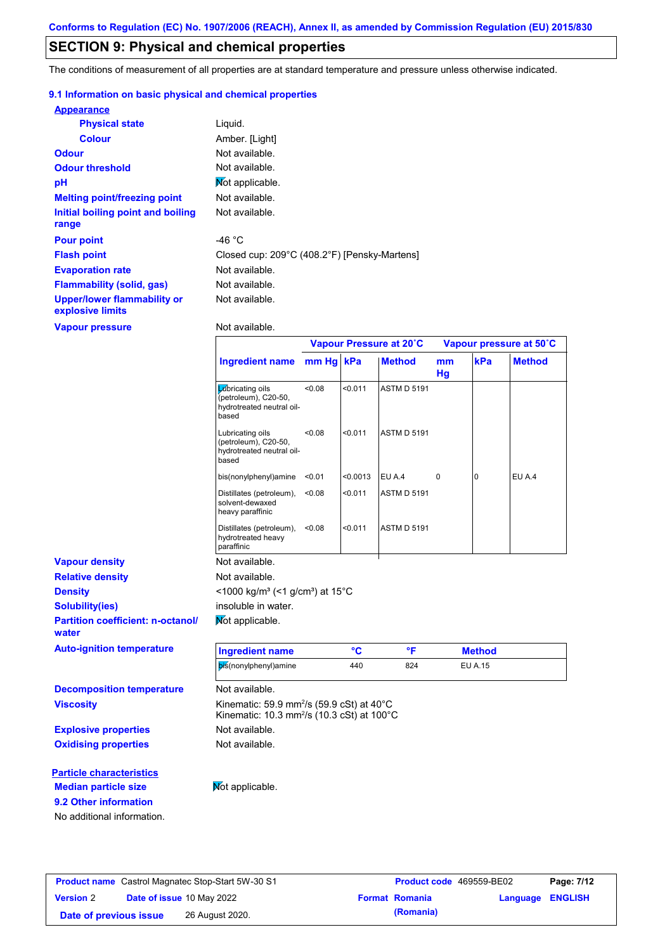## **SECTION 9: Physical and chemical properties**

The conditions of measurement of all properties are at standard temperature and pressure unless otherwise indicated.

### **9.1 Information on basic physical and chemical properties**

| <b>Appearance</b>                               |                                              |
|-------------------------------------------------|----------------------------------------------|
| <b>Physical state</b>                           | Liquid.                                      |
| <b>Colour</b>                                   | Amber. [Light]                               |
| <b>Odour</b>                                    | Not available.                               |
| <b>Odour threshold</b>                          | Not available.                               |
| pH                                              | Mot applicable.                              |
| <b>Melting point/freezing point</b>             | Not available.                               |
| Initial boiling point and boiling<br>range      | Not available.                               |
| <b>Pour point</b>                               | -46 $^{\circ}$ C                             |
| <b>Flash point</b>                              | Closed cup: 209°C (408.2°F) [Pensky-Martens] |
| <b>Evaporation rate</b>                         | Not available.                               |
| <b>Flammability (solid, gas)</b>                | Not available.                               |
| Upper/lower flammability or<br>explosive limits | Not available.                               |

**Vapour pressure**

Not available.

|                                                   |                                                                                                                           | Vapour Pressure at 20°C |          |                    | Vapour pressure at 50°C |               |               |
|---------------------------------------------------|---------------------------------------------------------------------------------------------------------------------------|-------------------------|----------|--------------------|-------------------------|---------------|---------------|
|                                                   | <b>Ingredient name</b>                                                                                                    | mm Hg kPa               |          | <b>Method</b>      | mm<br>Hg                | kPa           | <b>Method</b> |
|                                                   | Lubricating oils<br>(petroleum), C20-50,<br>hydrotreated neutral oil-<br>based                                            | < 0.08                  | < 0.011  | <b>ASTM D 5191</b> |                         |               |               |
|                                                   | Lubricating oils<br>(petroleum), C20-50,<br>hydrotreated neutral oil-<br>based                                            | < 0.08                  | < 0.011  | <b>ASTM D 5191</b> |                         |               |               |
|                                                   | bis(nonylphenyl)amine                                                                                                     | < 0.01                  | < 0.0013 | EU A.4             | 0                       | $\Omega$      | EU A.4        |
|                                                   | Distillates (petroleum),<br>solvent-dewaxed<br>heavy paraffinic                                                           | < 0.08                  | < 0.011  | <b>ASTM D 5191</b> |                         |               |               |
|                                                   | Distillates (petroleum),<br>hydrotreated heavy<br>paraffinic                                                              | < 0.08                  | < 0.011  | <b>ASTM D 5191</b> |                         |               |               |
| <b>Vapour density</b>                             | Not available.                                                                                                            |                         |          |                    |                         |               |               |
| <b>Relative density</b>                           | Not available.                                                                                                            |                         |          |                    |                         |               |               |
| <b>Density</b>                                    | <1000 kg/m <sup>3</sup> (<1 g/cm <sup>3</sup> ) at 15 <sup>°</sup> C                                                      |                         |          |                    |                         |               |               |
| <b>Solubility(ies)</b>                            | insoluble in water.                                                                                                       |                         |          |                    |                         |               |               |
| <b>Partition coefficient: n-octanol/</b><br>water | Not applicable.                                                                                                           |                         |          |                    |                         |               |               |
| <b>Auto-ignition temperature</b>                  | <b>Ingredient name</b>                                                                                                    |                         | °C       | °F                 |                         | <b>Method</b> |               |
|                                                   | bis(nonylphenyl)amine                                                                                                     |                         | 440      | 824                |                         | EU A.15       |               |
| <b>Decomposition temperature</b>                  | Not available.                                                                                                            |                         |          |                    |                         |               |               |
| <b>Viscosity</b>                                  | Kinematic: 59.9 mm <sup>2</sup> /s (59.9 cSt) at $40^{\circ}$ C<br>Kinematic: 10.3 mm <sup>2</sup> /s (10.3 cSt) at 100°C |                         |          |                    |                         |               |               |
| <b>Explosive properties</b>                       | Not available.                                                                                                            |                         |          |                    |                         |               |               |
| <b>Oxidising properties</b>                       | Not available.                                                                                                            |                         |          |                    |                         |               |               |
| <b>Particle characteristics</b>                   |                                                                                                                           |                         |          |                    |                         |               |               |
| <b>Median particle size</b>                       | Not applicable.                                                                                                           |                         |          |                    |                         |               |               |

**9.2 Other information**

No additional information.

**Product name** Castrol Magnatec Stop-Start 5W-30 S1 **Product code** 469559-BE02 **Page: 7/12 Version** 2 **Date of issue** 10 May 2022 **Format Romania Language ENGLISH Date of previous issue (Romania)** 26 August 2020.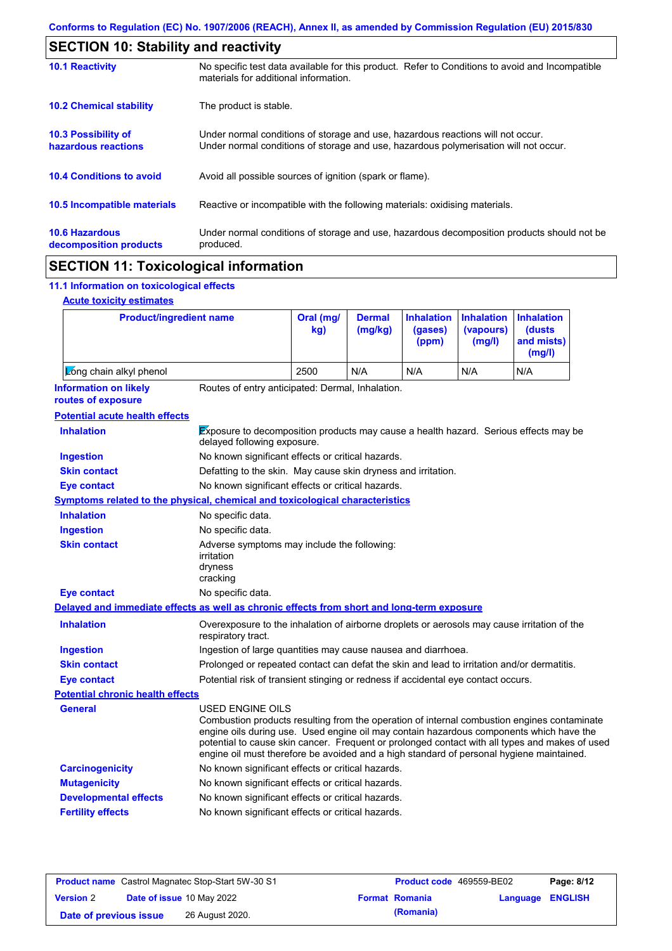| <b>SECTION 10: Stability and reactivity</b>     |                                                                                                                                                                         |
|-------------------------------------------------|-------------------------------------------------------------------------------------------------------------------------------------------------------------------------|
| <b>10.1 Reactivity</b>                          | No specific test data available for this product. Refer to Conditions to avoid and Incompatible<br>materials for additional information.                                |
| <b>10.2 Chemical stability</b>                  | The product is stable.                                                                                                                                                  |
| 10.3 Possibility of<br>hazardous reactions      | Under normal conditions of storage and use, hazardous reactions will not occur.<br>Under normal conditions of storage and use, hazardous polymerisation will not occur. |
| <b>10.4 Conditions to avoid</b>                 | Avoid all possible sources of ignition (spark or flame).                                                                                                                |
| 10.5 Incompatible materials                     | Reactive or incompatible with the following materials: oxidising materials.                                                                                             |
| <b>10.6 Hazardous</b><br>decomposition products | Under normal conditions of storage and use, hazardous decomposition products should not be<br>produced.                                                                 |
| <b>AMAMIALL JJ</b>                              |                                                                                                                                                                         |

## **SECTION 11: Toxicological information**

## **11.1 Information on toxicological effects**

| <b>Acute toxicity estimates</b> |  |
|---------------------------------|--|
|                                 |  |

 $\mathbf{r}$ 

| <b>Product/ingredient name</b>                                                             |                                                                                                                                                                                                                                                                                                                                                                                                                 | Oral (mg/<br>kg)                                                                                                    | <b>Dermal</b><br>(mg/kg) | <b>Inhalation</b><br>(gases)<br>(ppm) | <b>Inhalation</b><br>(vapours)<br>(mg/l) | <b>Inhalation</b><br>(dusts<br>and mists)<br>(mg/l) |
|--------------------------------------------------------------------------------------------|-----------------------------------------------------------------------------------------------------------------------------------------------------------------------------------------------------------------------------------------------------------------------------------------------------------------------------------------------------------------------------------------------------------------|---------------------------------------------------------------------------------------------------------------------|--------------------------|---------------------------------------|------------------------------------------|-----------------------------------------------------|
| Long chain alkyl phenol                                                                    |                                                                                                                                                                                                                                                                                                                                                                                                                 | 2500                                                                                                                | N/A                      | N/A                                   | N/A                                      | N/A                                                 |
| <b>Information on likely</b><br>routes of exposure                                         | Routes of entry anticipated: Dermal, Inhalation.                                                                                                                                                                                                                                                                                                                                                                |                                                                                                                     |                          |                                       |                                          |                                                     |
| <b>Potential acute health effects</b>                                                      |                                                                                                                                                                                                                                                                                                                                                                                                                 |                                                                                                                     |                          |                                       |                                          |                                                     |
| <b>Inhalation</b>                                                                          |                                                                                                                                                                                                                                                                                                                                                                                                                 | Exposure to decomposition products may cause a health hazard. Serious effects may be<br>delayed following exposure. |                          |                                       |                                          |                                                     |
| <b>Ingestion</b>                                                                           | No known significant effects or critical hazards.                                                                                                                                                                                                                                                                                                                                                               |                                                                                                                     |                          |                                       |                                          |                                                     |
| <b>Skin contact</b>                                                                        | Defatting to the skin. May cause skin dryness and irritation.                                                                                                                                                                                                                                                                                                                                                   |                                                                                                                     |                          |                                       |                                          |                                                     |
| <b>Eye contact</b>                                                                         | No known significant effects or critical hazards.                                                                                                                                                                                                                                                                                                                                                               |                                                                                                                     |                          |                                       |                                          |                                                     |
| <b>Symptoms related to the physical, chemical and toxicological characteristics</b>        |                                                                                                                                                                                                                                                                                                                                                                                                                 |                                                                                                                     |                          |                                       |                                          |                                                     |
| <b>Inhalation</b>                                                                          | No specific data.                                                                                                                                                                                                                                                                                                                                                                                               |                                                                                                                     |                          |                                       |                                          |                                                     |
| <b>Ingestion</b>                                                                           | No specific data.                                                                                                                                                                                                                                                                                                                                                                                               |                                                                                                                     |                          |                                       |                                          |                                                     |
| <b>Skin contact</b>                                                                        | irritation<br>dryness<br>cracking                                                                                                                                                                                                                                                                                                                                                                               | Adverse symptoms may include the following:                                                                         |                          |                                       |                                          |                                                     |
| <b>Eye contact</b>                                                                         | No specific data.                                                                                                                                                                                                                                                                                                                                                                                               |                                                                                                                     |                          |                                       |                                          |                                                     |
| Delayed and immediate effects as well as chronic effects from short and long-term exposure |                                                                                                                                                                                                                                                                                                                                                                                                                 |                                                                                                                     |                          |                                       |                                          |                                                     |
| <b>Inhalation</b>                                                                          | respiratory tract.                                                                                                                                                                                                                                                                                                                                                                                              | Overexposure to the inhalation of airborne droplets or aerosols may cause irritation of the                         |                          |                                       |                                          |                                                     |
| <b>Ingestion</b>                                                                           | Ingestion of large quantities may cause nausea and diarrhoea.                                                                                                                                                                                                                                                                                                                                                   |                                                                                                                     |                          |                                       |                                          |                                                     |
| <b>Skin contact</b>                                                                        | Prolonged or repeated contact can defat the skin and lead to irritation and/or dermatitis.                                                                                                                                                                                                                                                                                                                      |                                                                                                                     |                          |                                       |                                          |                                                     |
| <b>Eye contact</b>                                                                         |                                                                                                                                                                                                                                                                                                                                                                                                                 | Potential risk of transient stinging or redness if accidental eye contact occurs.                                   |                          |                                       |                                          |                                                     |
| <b>Potential chronic health effects</b>                                                    |                                                                                                                                                                                                                                                                                                                                                                                                                 |                                                                                                                     |                          |                                       |                                          |                                                     |
| General                                                                                    | <b>USED ENGINE OILS</b><br>Combustion products resulting from the operation of internal combustion engines contaminate<br>engine oils during use. Used engine oil may contain hazardous components which have the<br>potential to cause skin cancer. Frequent or prolonged contact with all types and makes of used<br>engine oil must therefore be avoided and a high standard of personal hygiene maintained. |                                                                                                                     |                          |                                       |                                          |                                                     |
| <b>Carcinogenicity</b>                                                                     | No known significant effects or critical hazards.                                                                                                                                                                                                                                                                                                                                                               |                                                                                                                     |                          |                                       |                                          |                                                     |
| <b>Mutagenicity</b>                                                                        | No known significant effects or critical hazards.                                                                                                                                                                                                                                                                                                                                                               |                                                                                                                     |                          |                                       |                                          |                                                     |
| <b>Developmental effects</b>                                                               | No known significant effects or critical hazards.                                                                                                                                                                                                                                                                                                                                                               |                                                                                                                     |                          |                                       |                                          |                                                     |
| <b>Fertility effects</b>                                                                   | No known significant effects or critical hazards.                                                                                                                                                                                                                                                                                                                                                               |                                                                                                                     |                          |                                       |                                          |                                                     |

|                        | <b>Product name</b> Castrol Magnatec Stop-Start 5W-30 S1 | <b>Product code</b> 469559-BE02 |                         | Page: 8/12 |
|------------------------|----------------------------------------------------------|---------------------------------|-------------------------|------------|
| <b>Version 2</b>       | <b>Date of issue 10 May 2022</b>                         | <b>Format Romania</b>           | <b>Language ENGLISH</b> |            |
| Date of previous issue | 26 August 2020.                                          | (Romania)                       |                         |            |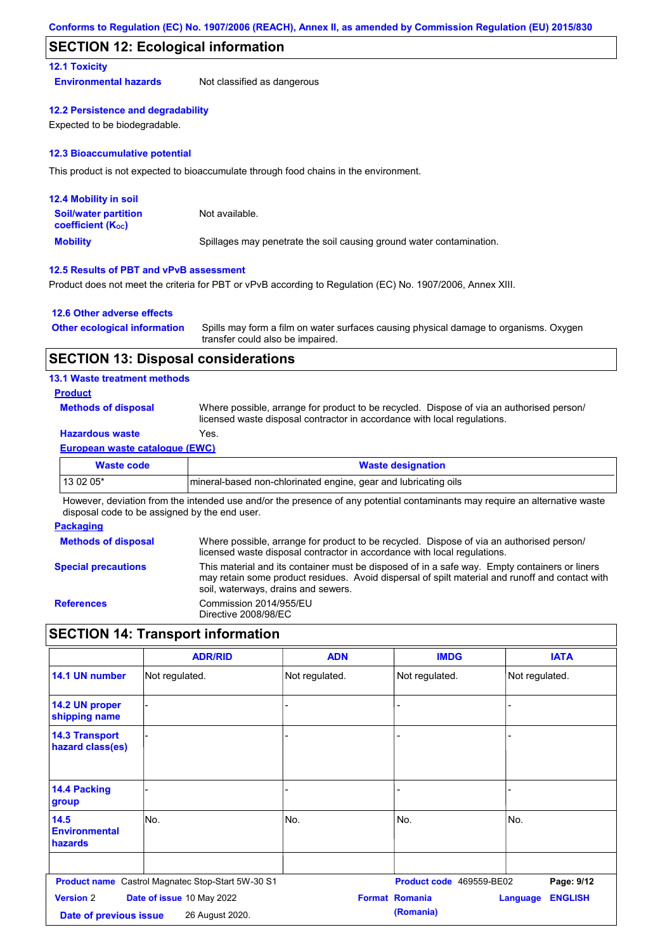### **SECTION 12: Ecological information**

### **12.1 Toxicity**

**Environmental hazards** Not classified as dangerous

#### **12.2 Persistence and degradability**

Expected to be biodegradable.

#### **12.3 Bioaccumulative potential**

This product is not expected to bioaccumulate through food chains in the environment.

| <b>12.4 Mobility in soil</b>                                  |                                                                      |
|---------------------------------------------------------------|----------------------------------------------------------------------|
| <b>Soil/water partition</b><br>coefficient (K <sub>oc</sub> ) | Not available.                                                       |
| <b>Mobility</b>                                               | Spillages may penetrate the soil causing ground water contamination. |

### **12.5 Results of PBT and vPvB assessment**

Product does not meet the criteria for PBT or vPvB according to Regulation (EC) No. 1907/2006, Annex XIII.

#### **12.6 Other adverse effects**

| <b>Other ecological information</b> | Spills may form a film on water surfaces causing physical damage to organisms. Oxygen |
|-------------------------------------|---------------------------------------------------------------------------------------|
|                                     | transfer could also be impaired.                                                      |

### **SECTION 13: Disposal considerations**

### **13.1 Waste treatment methods**

### **Product**

**Methods of disposal**

Where possible, arrange for product to be recycled. Dispose of via an authorised person/ licensed waste disposal contractor in accordance with local regulations.

### **Hazardous waste** Yes.

#### **European waste catalogue (EWC)**

| Waste code | <b>Waste designation</b>                                         |
|------------|------------------------------------------------------------------|
| $130205*$  | Imineral-based non-chlorinated engine, gear and lubricating oils |

However, deviation from the intended use and/or the presence of any potential contaminants may require an alternative waste disposal code to be assigned by the end user.

#### **Packaging**

| <b>Methods of disposal</b> | Where possible, arrange for product to be recycled. Dispose of via an authorised person/<br>licensed waste disposal contractor in accordance with local regulations.                                                                    |
|----------------------------|-----------------------------------------------------------------------------------------------------------------------------------------------------------------------------------------------------------------------------------------|
| <b>Special precautions</b> | This material and its container must be disposed of in a safe way. Empty containers or liners<br>may retain some product residues. Avoid dispersal of spilt material and runoff and contact with<br>soil, waterways, drains and sewers. |
| <b>References</b>          | Commission 2014/955/EU<br>Directive 2008/98/EC                                                                                                                                                                                          |

## **SECTION 14: Transport information**

|                                            | <b>ADR/RID</b>                                    | <b>ADN</b>     | <b>IMDG</b>                        | <b>IATA</b>                       |
|--------------------------------------------|---------------------------------------------------|----------------|------------------------------------|-----------------------------------|
| 14.1 UN number                             | Not regulated.                                    | Not regulated. | Not regulated.                     | Not regulated.                    |
| 14.2 UN proper<br>shipping name            |                                                   | ٠              |                                    |                                   |
| <b>14.3 Transport</b><br>hazard class(es)  |                                                   |                |                                    |                                   |
| 14.4 Packing<br>group                      |                                                   |                |                                    |                                   |
| 14.5<br><b>Environmental</b><br>hazards    | lNo.                                              | No.            | No.                                | No.                               |
|                                            | Product name Castrol Magnatec Stop-Start 5W-30 S1 |                | Product code 469559-BE02           | Page: 9/12                        |
| <b>Version 2</b><br>Date of previous issue | Date of issue 10 May 2022<br>26 August 2020.      |                | <b>Format Romania</b><br>(Romania) | <b>ENGLISH</b><br><b>Language</b> |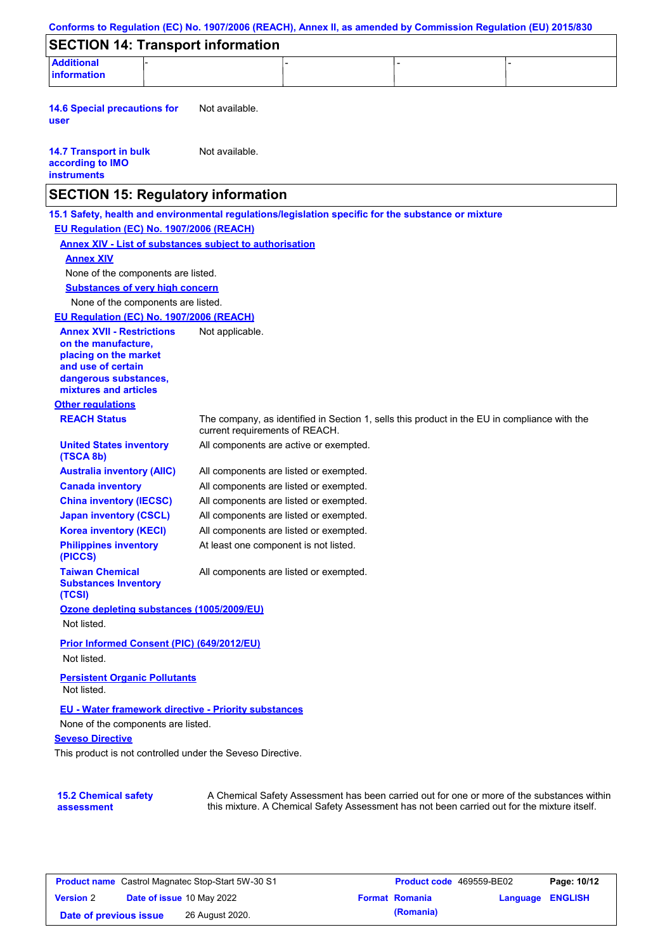| Conforms to Regulation (EC) No. 1907/2006 (REACH), Annex II, as amended by Commission Regulation (EU) 2015/830 |                                        |                                        |                                                                                                                                                                                           |  |
|----------------------------------------------------------------------------------------------------------------|----------------------------------------|----------------------------------------|-------------------------------------------------------------------------------------------------------------------------------------------------------------------------------------------|--|
| <b>SECTION 14: Transport information</b>                                                                       |                                        |                                        |                                                                                                                                                                                           |  |
| <b>Additional</b><br><b>information</b>                                                                        |                                        |                                        |                                                                                                                                                                                           |  |
|                                                                                                                |                                        |                                        |                                                                                                                                                                                           |  |
| <b>14.6 Special precautions for</b><br>user                                                                    | Not available.                         |                                        |                                                                                                                                                                                           |  |
| <b>14.7 Transport in bulk</b><br>according to IMO<br><b>instruments</b>                                        | Not available.                         |                                        |                                                                                                                                                                                           |  |
| <b>SECTION 15: Regulatory information</b>                                                                      |                                        |                                        |                                                                                                                                                                                           |  |
| 15.1 Safety, health and environmental regulations/legislation specific for the substance or mixture            |                                        |                                        |                                                                                                                                                                                           |  |
| EU Regulation (EC) No. 1907/2006 (REACH)                                                                       |                                        |                                        |                                                                                                                                                                                           |  |
| <b>Annex XIV - List of substances subject to authorisation</b>                                                 |                                        |                                        |                                                                                                                                                                                           |  |
| <b>Annex XIV</b>                                                                                               |                                        |                                        |                                                                                                                                                                                           |  |
| None of the components are listed.                                                                             |                                        |                                        |                                                                                                                                                                                           |  |
| <b>Substances of very high concern</b>                                                                         |                                        |                                        |                                                                                                                                                                                           |  |
| None of the components are listed.                                                                             |                                        |                                        |                                                                                                                                                                                           |  |
| EU Regulation (EC) No. 1907/2006 (REACH)                                                                       |                                        |                                        |                                                                                                                                                                                           |  |
| <b>Annex XVII - Restrictions</b><br>on the manufacture.<br>placing on the market<br>and use of certain         | Not applicable.                        |                                        |                                                                                                                                                                                           |  |
| dangerous substances,<br>mixtures and articles                                                                 |                                        |                                        |                                                                                                                                                                                           |  |
| <b>Other regulations</b>                                                                                       |                                        |                                        |                                                                                                                                                                                           |  |
| <b>REACH Status</b>                                                                                            | current requirements of REACH.         |                                        | The company, as identified in Section 1, sells this product in the EU in compliance with the                                                                                              |  |
| <b>United States inventory</b><br>(TSCA 8b)                                                                    |                                        | All components are active or exempted. |                                                                                                                                                                                           |  |
| <b>Australia inventory (AIIC)</b>                                                                              | All components are listed or exempted. |                                        |                                                                                                                                                                                           |  |
| <b>Canada inventory</b>                                                                                        | All components are listed or exempted. |                                        |                                                                                                                                                                                           |  |
| <b>China inventory (IECSC)</b>                                                                                 | All components are listed or exempted. |                                        |                                                                                                                                                                                           |  |
| <b>Japan inventory (CSCL)</b>                                                                                  | All components are listed or exempted. |                                        |                                                                                                                                                                                           |  |
| <b>Korea inventory (KECI)</b>                                                                                  | All components are listed or exempted. |                                        |                                                                                                                                                                                           |  |
| <b>Philippines inventory</b><br>(PICCS)                                                                        | At least one component is not listed.  |                                        |                                                                                                                                                                                           |  |
| <b>Taiwan Chemical</b><br><b>Substances Inventory</b><br>(TCSI)                                                | All components are listed or exempted. |                                        |                                                                                                                                                                                           |  |
| Ozone depleting substances (1005/2009/EU)                                                                      |                                        |                                        |                                                                                                                                                                                           |  |
| Not listed.                                                                                                    |                                        |                                        |                                                                                                                                                                                           |  |
| Prior Informed Consent (PIC) (649/2012/EU)<br>Not listed.                                                      |                                        |                                        |                                                                                                                                                                                           |  |
|                                                                                                                |                                        |                                        |                                                                                                                                                                                           |  |
| <b>Persistent Organic Pollutants</b><br>Not listed.                                                            |                                        |                                        |                                                                                                                                                                                           |  |
| EU - Water framework directive - Priority substances                                                           |                                        |                                        |                                                                                                                                                                                           |  |
| None of the components are listed.                                                                             |                                        |                                        |                                                                                                                                                                                           |  |
| <b>Seveso Directive</b>                                                                                        |                                        |                                        |                                                                                                                                                                                           |  |
| This product is not controlled under the Seveso Directive.                                                     |                                        |                                        |                                                                                                                                                                                           |  |
|                                                                                                                |                                        |                                        |                                                                                                                                                                                           |  |
| <b>15.2 Chemical safety</b><br>assessment                                                                      |                                        |                                        | A Chemical Safety Assessment has been carried out for one or more of the substances within<br>this mixture. A Chemical Safety Assessment has not been carried out for the mixture itself. |  |

| <b>Product name</b> Castrol Magnatec Stop-Start 5W-30 S1 |  | Product code 469559-BE02         |  | Page: 10/12           |                  |  |
|----------------------------------------------------------|--|----------------------------------|--|-----------------------|------------------|--|
| <b>Version 2</b>                                         |  | <b>Date of issue 10 May 2022</b> |  | <b>Format Romania</b> | Language ENGLISH |  |
| Date of previous issue                                   |  | 26 August 2020.                  |  | (Romania)             |                  |  |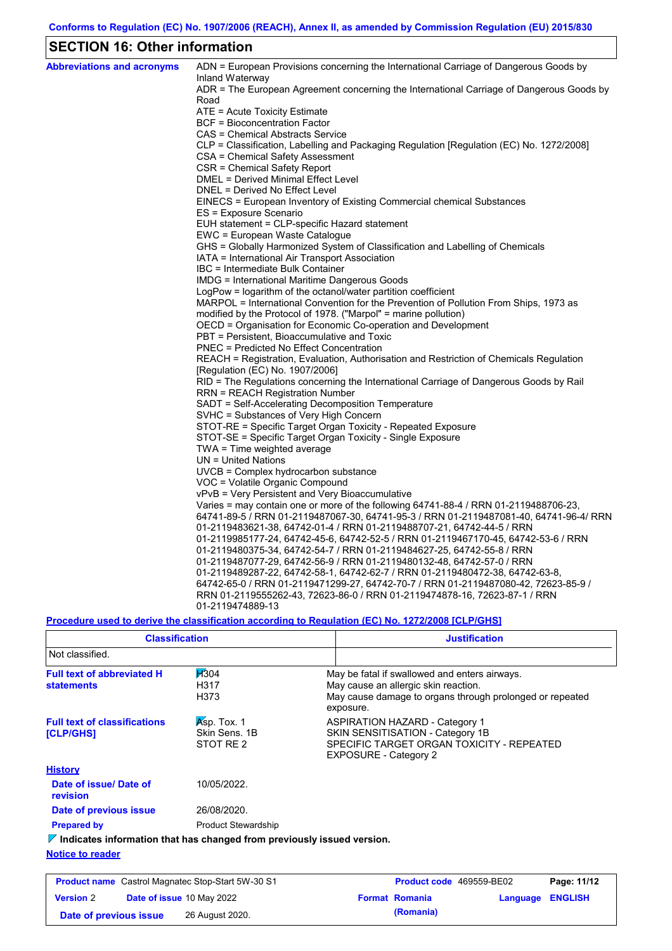## **SECTION 16: Other information**

| <b>Abbreviations and acronyms</b> | ADN = European Provisions concerning the International Carriage of Dangerous Goods by<br>Inland Waterway                                   |
|-----------------------------------|--------------------------------------------------------------------------------------------------------------------------------------------|
|                                   | ADR = The European Agreement concerning the International Carriage of Dangerous Goods by                                                   |
|                                   | Road                                                                                                                                       |
|                                   | ATE = Acute Toxicity Estimate                                                                                                              |
|                                   | BCF = Bioconcentration Factor                                                                                                              |
|                                   | CAS = Chemical Abstracts Service                                                                                                           |
|                                   | CLP = Classification, Labelling and Packaging Regulation [Regulation (EC) No. 1272/2008]                                                   |
|                                   | CSA = Chemical Safety Assessment                                                                                                           |
|                                   | CSR = Chemical Safety Report                                                                                                               |
|                                   | DMEL = Derived Minimal Effect Level                                                                                                        |
|                                   | DNEL = Derived No Effect Level                                                                                                             |
|                                   | EINECS = European Inventory of Existing Commercial chemical Substances                                                                     |
|                                   | ES = Exposure Scenario                                                                                                                     |
|                                   | EUH statement = CLP-specific Hazard statement                                                                                              |
|                                   | EWC = European Waste Catalogue                                                                                                             |
|                                   | GHS = Globally Harmonized System of Classification and Labelling of Chemicals                                                              |
|                                   | IATA = International Air Transport Association                                                                                             |
|                                   | IBC = Intermediate Bulk Container                                                                                                          |
|                                   | IMDG = International Maritime Dangerous Goods                                                                                              |
|                                   | LogPow = logarithm of the octanol/water partition coefficient                                                                              |
|                                   | MARPOL = International Convention for the Prevention of Pollution From Ships, 1973 as                                                      |
|                                   | modified by the Protocol of 1978. ("Marpol" = marine pollution)                                                                            |
|                                   | OECD = Organisation for Economic Co-operation and Development                                                                              |
|                                   | PBT = Persistent, Bioaccumulative and Toxic                                                                                                |
|                                   | <b>PNEC</b> = Predicted No Effect Concentration<br>REACH = Registration, Evaluation, Authorisation and Restriction of Chemicals Regulation |
|                                   |                                                                                                                                            |
|                                   | [Regulation (EC) No. 1907/2006]<br>RID = The Regulations concerning the International Carriage of Dangerous Goods by Rail                  |
|                                   | RRN = REACH Registration Number                                                                                                            |
|                                   | SADT = Self-Accelerating Decomposition Temperature                                                                                         |
|                                   | SVHC = Substances of Very High Concern                                                                                                     |
|                                   | STOT-RE = Specific Target Organ Toxicity - Repeated Exposure                                                                               |
|                                   | STOT-SE = Specific Target Organ Toxicity - Single Exposure                                                                                 |
|                                   | $TWA = Time weighted average$                                                                                                              |
|                                   | $UN = United Nations$                                                                                                                      |
|                                   | UVCB = Complex hydrocarbon substance                                                                                                       |
|                                   | VOC = Volatile Organic Compound                                                                                                            |
|                                   | vPvB = Very Persistent and Very Bioaccumulative                                                                                            |
|                                   | Varies = may contain one or more of the following 64741-88-4 / RRN 01-2119488706-23,                                                       |
|                                   | 64741-89-5 / RRN 01-2119487067-30, 64741-95-3 / RRN 01-2119487081-40, 64741-96-4/ RRN                                                      |
|                                   | 01-2119483621-38, 64742-01-4 / RRN 01-2119488707-21, 64742-44-5 / RRN                                                                      |
|                                   | 01-2119985177-24, 64742-45-6, 64742-52-5 / RRN 01-2119467170-45, 64742-53-6 / RRN                                                          |
|                                   | 01-2119480375-34, 64742-54-7 / RRN 01-2119484627-25, 64742-55-8 / RRN                                                                      |
|                                   | 01-2119487077-29, 64742-56-9 / RRN 01-2119480132-48, 64742-57-0 / RRN                                                                      |
|                                   | 01-2119489287-22, 64742-58-1, 64742-62-7 / RRN 01-2119480472-38, 64742-63-8,                                                               |
|                                   | 64742-65-0 / RRN 01-2119471299-27, 64742-70-7 / RRN 01-2119487080-42, 72623-85-9 /                                                         |
|                                   | RRN 01-2119555262-43, 72623-86-0 / RRN 01-2119474878-16, 72623-87-1 / RRN                                                                  |
|                                   | 01-2119474889-13                                                                                                                           |

**Procedure used to derive the classification according to Regulation (EC) No. 1272/2008 [CLP/GHS]**

| <b>Classification</b>                                                           |                                           | <b>Justification</b>                                                                                                                                           |
|---------------------------------------------------------------------------------|-------------------------------------------|----------------------------------------------------------------------------------------------------------------------------------------------------------------|
| Not classified.                                                                 |                                           |                                                                                                                                                                |
| <b>Full text of abbreviated H</b><br><b>statements</b>                          | H304<br>H317<br>H373                      | May be fatal if swallowed and enters airways.<br>May cause an allergic skin reaction.<br>May cause damage to organs through prolonged or repeated<br>exposure. |
| <b>Full text of classifications</b><br>[CLP/GHS]                                | Asp. Tox. 1<br>Skin Sens, 1B<br>STOT RE 2 | <b>ASPIRATION HAZARD - Category 1</b><br>SKIN SENSITISATION - Category 1B<br>SPECIFIC TARGET ORGAN TOXICITY - REPEATED<br><b>EXPOSURE - Category 2</b>         |
| <b>History</b>                                                                  |                                           |                                                                                                                                                                |
| Date of issue/ Date of<br>revision                                              | 10/05/2022.                               |                                                                                                                                                                |
| Date of previous issue                                                          | 26/08/2020.                               |                                                                                                                                                                |
| <b>Prepared by</b>                                                              | <b>Product Stewardship</b>                |                                                                                                                                                                |
| $\nabla$ Indicates information that has changed from previously issued version. |                                           |                                                                                                                                                                |
| <b>Notice to reader</b>                                                         |                                           |                                                                                                                                                                |

| <b>Product name</b> Castrol Magnatec Stop-Start 5W-30 S1 |  | <b>Product code</b> 469559-BE02  |  | Page: 11/12           |                         |  |
|----------------------------------------------------------|--|----------------------------------|--|-----------------------|-------------------------|--|
| <b>Version 2</b>                                         |  | <b>Date of issue 10 May 2022</b> |  | <b>Format Romania</b> | <b>Language ENGLISH</b> |  |
| Date of previous issue                                   |  | 26 August 2020.                  |  | (Romania)             |                         |  |